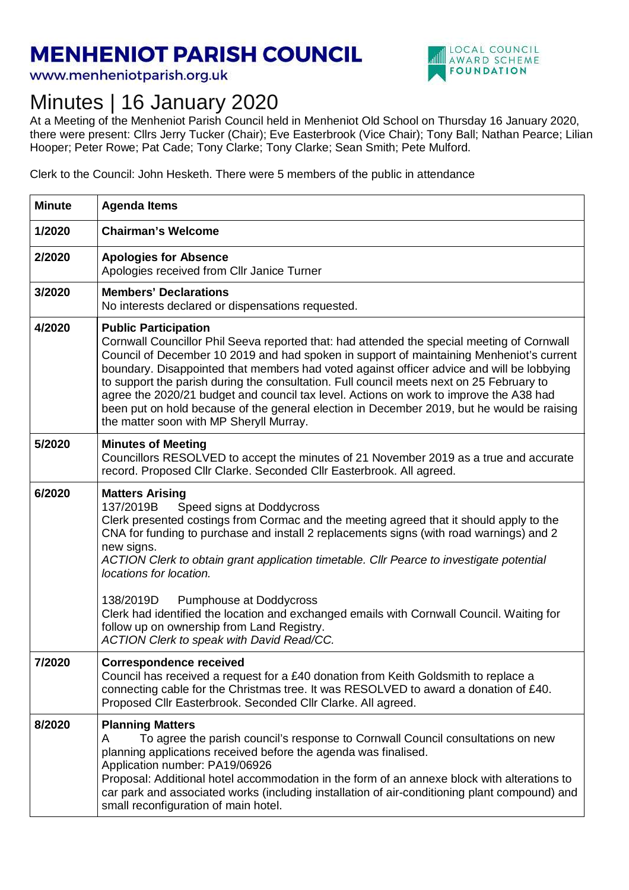## **MENHENIOT PARISH COUNCIL**

www.menheniotparish.org.uk



## Minutes | 16 January 2020

At a Meeting of the Menheniot Parish Council held in Menheniot Old School on Thursday 16 January 2020, there were present: Cllrs Jerry Tucker (Chair); Eve Easterbrook (Vice Chair); Tony Ball; Nathan Pearce; Lilian Hooper; Peter Rowe; Pat Cade; Tony Clarke; Tony Clarke; Sean Smith; Pete Mulford.

Clerk to the Council: John Hesketh. There were 5 members of the public in attendance

| <b>Minute</b> | <b>Agenda Items</b>                                                                                                                                                                                                                                                                                                                                                                                                                                                                                                                                                                                                                               |  |  |
|---------------|---------------------------------------------------------------------------------------------------------------------------------------------------------------------------------------------------------------------------------------------------------------------------------------------------------------------------------------------------------------------------------------------------------------------------------------------------------------------------------------------------------------------------------------------------------------------------------------------------------------------------------------------------|--|--|
| 1/2020        | <b>Chairman's Welcome</b>                                                                                                                                                                                                                                                                                                                                                                                                                                                                                                                                                                                                                         |  |  |
| 2/2020        | <b>Apologies for Absence</b><br>Apologies received from Cllr Janice Turner                                                                                                                                                                                                                                                                                                                                                                                                                                                                                                                                                                        |  |  |
| 3/2020        | <b>Members' Declarations</b><br>No interests declared or dispensations requested.                                                                                                                                                                                                                                                                                                                                                                                                                                                                                                                                                                 |  |  |
| 4/2020        | <b>Public Participation</b><br>Cornwall Councillor Phil Seeva reported that: had attended the special meeting of Cornwall<br>Council of December 10 2019 and had spoken in support of maintaining Menheniot's current<br>boundary. Disappointed that members had voted against officer advice and will be lobbying<br>to support the parish during the consultation. Full council meets next on 25 February to<br>agree the 2020/21 budget and council tax level. Actions on work to improve the A38 had<br>been put on hold because of the general election in December 2019, but he would be raising<br>the matter soon with MP Sheryll Murray. |  |  |
| 5/2020        | <b>Minutes of Meeting</b><br>Councillors RESOLVED to accept the minutes of 21 November 2019 as a true and accurate<br>record. Proposed Cllr Clarke. Seconded Cllr Easterbrook. All agreed.                                                                                                                                                                                                                                                                                                                                                                                                                                                        |  |  |
| 6/2020        | <b>Matters Arising</b><br>137/2019B<br>Speed signs at Doddycross<br>Clerk presented costings from Cormac and the meeting agreed that it should apply to the<br>CNA for funding to purchase and install 2 replacements signs (with road warnings) and 2<br>new signs.<br>ACTION Clerk to obtain grant application timetable. Cllr Pearce to investigate potential<br>locations for location.                                                                                                                                                                                                                                                       |  |  |
|               | Pumphouse at Doddycross<br>138/2019D<br>Clerk had identified the location and exchanged emails with Cornwall Council. Waiting for<br>follow up on ownership from Land Registry.<br>ACTION Clerk to speak with David Read/CC.                                                                                                                                                                                                                                                                                                                                                                                                                      |  |  |
| 7/2020        | <b>Correspondence received</b><br>Council has received a request for a £40 donation from Keith Goldsmith to replace a<br>connecting cable for the Christmas tree. It was RESOLVED to award a donation of £40.<br>Proposed Cllr Easterbrook. Seconded Cllr Clarke. All agreed.                                                                                                                                                                                                                                                                                                                                                                     |  |  |
| 8/2020        | <b>Planning Matters</b><br>To agree the parish council's response to Cornwall Council consultations on new<br>A<br>planning applications received before the agenda was finalised.<br>Application number: PA19/06926<br>Proposal: Additional hotel accommodation in the form of an annexe block with alterations to<br>car park and associated works (including installation of air-conditioning plant compound) and<br>small reconfiguration of main hotel.                                                                                                                                                                                      |  |  |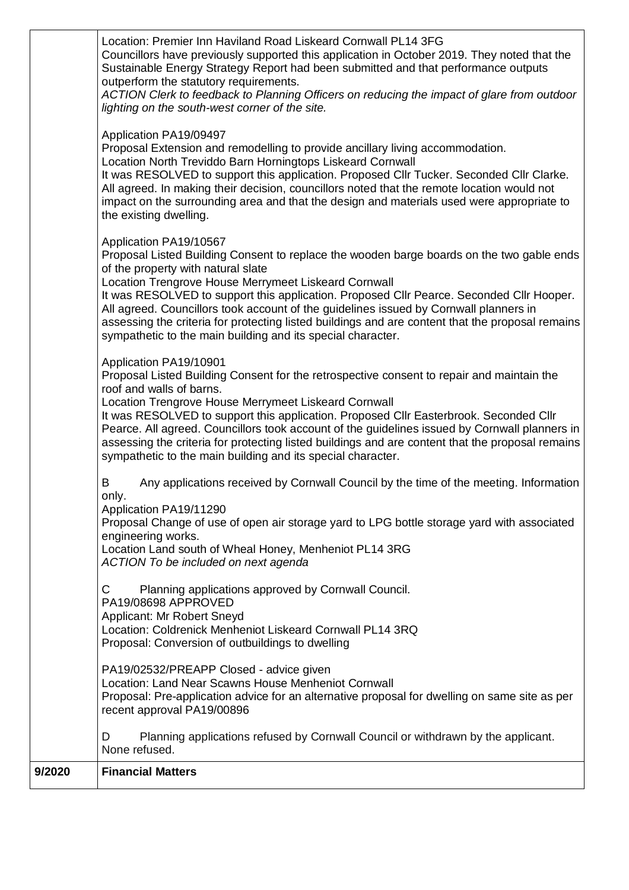| Location: Premier Inn Haviland Road Liskeard Cornwall PL14 3FG<br>Councillors have previously supported this application in October 2019. They noted that the<br>Sustainable Energy Strategy Report had been submitted and that performance outputs<br>outperform the statutory requirements.<br>ACTION Clerk to feedback to Planning Officers on reducing the impact of glare from outdoor<br>lighting on the south-west corner of the site.                                                                                                                             |
|---------------------------------------------------------------------------------------------------------------------------------------------------------------------------------------------------------------------------------------------------------------------------------------------------------------------------------------------------------------------------------------------------------------------------------------------------------------------------------------------------------------------------------------------------------------------------|
| Application PA19/09497<br>Proposal Extension and remodelling to provide ancillary living accommodation.<br>Location North Treviddo Barn Horningtops Liskeard Cornwall<br>It was RESOLVED to support this application. Proposed Cllr Tucker. Seconded Cllr Clarke.<br>All agreed. In making their decision, councillors noted that the remote location would not<br>impact on the surrounding area and that the design and materials used were appropriate to<br>the existing dwelling.                                                                                    |
| Application PA19/10567<br>Proposal Listed Building Consent to replace the wooden barge boards on the two gable ends<br>of the property with natural slate<br>Location Trengrove House Merrymeet Liskeard Cornwall<br>It was RESOLVED to support this application. Proposed CIIr Pearce. Seconded CIIr Hooper.<br>All agreed. Councillors took account of the guidelines issued by Cornwall planners in<br>assessing the criteria for protecting listed buildings and are content that the proposal remains<br>sympathetic to the main building and its special character. |
| Application PA19/10901<br>Proposal Listed Building Consent for the retrospective consent to repair and maintain the<br>roof and walls of barns.<br>Location Trengrove House Merrymeet Liskeard Cornwall<br>It was RESOLVED to support this application. Proposed CIIr Easterbrook. Seconded CIIr<br>Pearce. All agreed. Councillors took account of the guidelines issued by Cornwall planners in<br>assessing the criteria for protecting listed buildings and are content that the proposal remains<br>sympathetic to the main building and its special character.      |
| Any applications received by Cornwall Council by the time of the meeting. Information<br>Β<br>only.<br>Application PA19/11290<br>Proposal Change of use of open air storage yard to LPG bottle storage yard with associated<br>engineering works.<br>Location Land south of Wheal Honey, Menheniot PL14 3RG<br>ACTION To be included on next agenda                                                                                                                                                                                                                       |
| Planning applications approved by Cornwall Council.<br>С<br>PA19/08698 APPROVED<br>Applicant: Mr Robert Sneyd<br>Location: Coldrenick Menheniot Liskeard Cornwall PL14 3RQ<br>Proposal: Conversion of outbuildings to dwelling                                                                                                                                                                                                                                                                                                                                            |
| PA19/02532/PREAPP Closed - advice given<br>Location: Land Near Scawns House Menheniot Cornwall<br>Proposal: Pre-application advice for an alternative proposal for dwelling on same site as per<br>recent approval PA19/00896                                                                                                                                                                                                                                                                                                                                             |
| Planning applications refused by Cornwall Council or withdrawn by the applicant.<br>D<br>None refused.                                                                                                                                                                                                                                                                                                                                                                                                                                                                    |
| <b>Financial Matters</b>                                                                                                                                                                                                                                                                                                                                                                                                                                                                                                                                                  |

**9/2020 Financial Matters**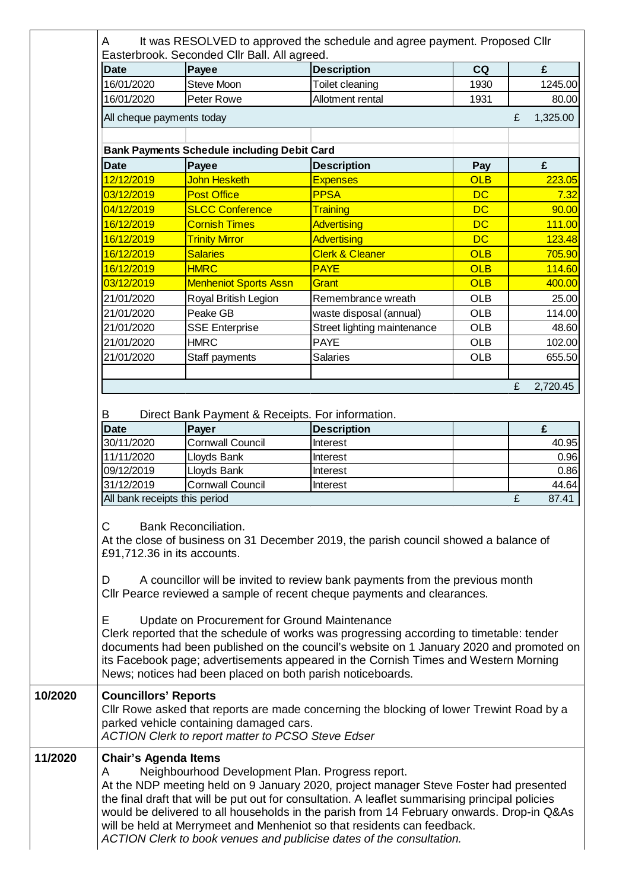| <b>Date</b>                                                | Payee                                                                                                      | <b>Description</b>                                                                                                                                                                                                                                                                                                                                                                                                                                                                                                            | CQ         | £                   |
|------------------------------------------------------------|------------------------------------------------------------------------------------------------------------|-------------------------------------------------------------------------------------------------------------------------------------------------------------------------------------------------------------------------------------------------------------------------------------------------------------------------------------------------------------------------------------------------------------------------------------------------------------------------------------------------------------------------------|------------|---------------------|
| 16/01/2020                                                 | Steve Moon                                                                                                 | Toilet cleaning                                                                                                                                                                                                                                                                                                                                                                                                                                                                                                               | 1930       | 1245.00             |
| 16/01/2020                                                 | Peter Rowe                                                                                                 | Allotment rental                                                                                                                                                                                                                                                                                                                                                                                                                                                                                                              | 1931       | 80.00               |
| All cheque payments today                                  |                                                                                                            |                                                                                                                                                                                                                                                                                                                                                                                                                                                                                                                               |            | 1,325.00<br>£       |
|                                                            |                                                                                                            |                                                                                                                                                                                                                                                                                                                                                                                                                                                                                                                               |            |                     |
|                                                            | <b>Bank Payments Schedule including Debit Card</b>                                                         |                                                                                                                                                                                                                                                                                                                                                                                                                                                                                                                               |            |                     |
| <b>Date</b>                                                | Payee                                                                                                      | <b>Description</b>                                                                                                                                                                                                                                                                                                                                                                                                                                                                                                            | Pay        | £                   |
| 12/12/2019                                                 | John Hesketh                                                                                               | <b>Expenses</b>                                                                                                                                                                                                                                                                                                                                                                                                                                                                                                               | <b>OLB</b> | 223.05              |
| 03/12/2019                                                 | <b>Post Office</b>                                                                                         | <b>PPSA</b>                                                                                                                                                                                                                                                                                                                                                                                                                                                                                                                   | <b>DC</b>  | 7.32                |
| 04/12/2019                                                 | <b>SLCC Conference</b>                                                                                     | Training                                                                                                                                                                                                                                                                                                                                                                                                                                                                                                                      | <b>DC</b>  | 90.00               |
| 16/12/2019                                                 | <b>Cornish Times</b>                                                                                       | Advertising                                                                                                                                                                                                                                                                                                                                                                                                                                                                                                                   | <b>DC</b>  | 111.00              |
| 16/12/2019                                                 | <b>Trinity Mirror</b>                                                                                      | Advertising                                                                                                                                                                                                                                                                                                                                                                                                                                                                                                                   | <b>DC</b>  | 123.48              |
| 16/12/2019                                                 | <b>Salaries</b>                                                                                            | <b>Clerk &amp; Cleaner</b>                                                                                                                                                                                                                                                                                                                                                                                                                                                                                                    | <b>OLB</b> | 705.90              |
| 16/12/2019                                                 | <b>HMRC</b>                                                                                                | <b>PAYE</b>                                                                                                                                                                                                                                                                                                                                                                                                                                                                                                                   | <b>OLB</b> | 114.60              |
| 03/12/2019                                                 | <b>Menheniot Sports Assn</b>                                                                               | Grant                                                                                                                                                                                                                                                                                                                                                                                                                                                                                                                         | <b>OLB</b> | 400.00              |
| 21/01/2020                                                 | Royal British Legion                                                                                       | Remembrance wreath                                                                                                                                                                                                                                                                                                                                                                                                                                                                                                            | <b>OLB</b> | 25.00               |
| 21/01/2020                                                 | Peake GB                                                                                                   | waste disposal (annual)                                                                                                                                                                                                                                                                                                                                                                                                                                                                                                       | <b>OLB</b> | 114.00              |
| 21/01/2020                                                 | <b>SSE Enterprise</b>                                                                                      | Street lighting maintenance                                                                                                                                                                                                                                                                                                                                                                                                                                                                                                   | <b>OLB</b> | 48.60               |
| 21/01/2020                                                 | <b>HMRC</b>                                                                                                | <b>PAYE</b>                                                                                                                                                                                                                                                                                                                                                                                                                                                                                                                   | <b>OLB</b> | 102.00              |
| 21/01/2020                                                 | Staff payments                                                                                             | <b>Salaries</b>                                                                                                                                                                                                                                                                                                                                                                                                                                                                                                               | <b>OLB</b> | 655.50              |
| 30/11/2020                                                 | <b>Cornwall Council</b>                                                                                    |                                                                                                                                                                                                                                                                                                                                                                                                                                                                                                                               |            |                     |
| <b>Date</b>                                                | Payer                                                                                                      | <b>Description</b>                                                                                                                                                                                                                                                                                                                                                                                                                                                                                                            |            | £                   |
|                                                            |                                                                                                            | Interest                                                                                                                                                                                                                                                                                                                                                                                                                                                                                                                      |            | 40.95               |
| 11/11/2020                                                 | Lloyds Bank                                                                                                | <b>Interest</b>                                                                                                                                                                                                                                                                                                                                                                                                                                                                                                               |            | 0.96                |
| 09/12/2019                                                 | Lloyds Bank                                                                                                | <b>Interest</b>                                                                                                                                                                                                                                                                                                                                                                                                                                                                                                               |            | 0.86                |
| 31/12/2019<br>All bank receipts this period                | <b>Cornwall Council</b>                                                                                    | Interest                                                                                                                                                                                                                                                                                                                                                                                                                                                                                                                      |            | 44.64<br>87.41<br>£ |
| £91,712.36 in its accounts.<br>D<br>Е                      | Update on Procurement for Ground Maintenance<br>News; notices had been placed on both parish noticeboards. | At the close of business on 31 December 2019, the parish council showed a balance of<br>A councillor will be invited to review bank payments from the previous month<br>Cllr Pearce reviewed a sample of recent cheque payments and clearances.<br>Clerk reported that the schedule of works was progressing according to timetable: tender<br>documents had been published on the council's website on 1 January 2020 and promoted on<br>its Facebook page; advertisements appeared in the Cornish Times and Western Morning |            |                     |
| <b>Councillors' Reports</b><br><b>Chair's Agenda Items</b> | parked vehicle containing damaged cars.<br><b>ACTION Clerk to report matter to PCSO Steve Edser</b>        | Cllr Rowe asked that reports are made concerning the blocking of lower Trewint Road by a                                                                                                                                                                                                                                                                                                                                                                                                                                      |            |                     |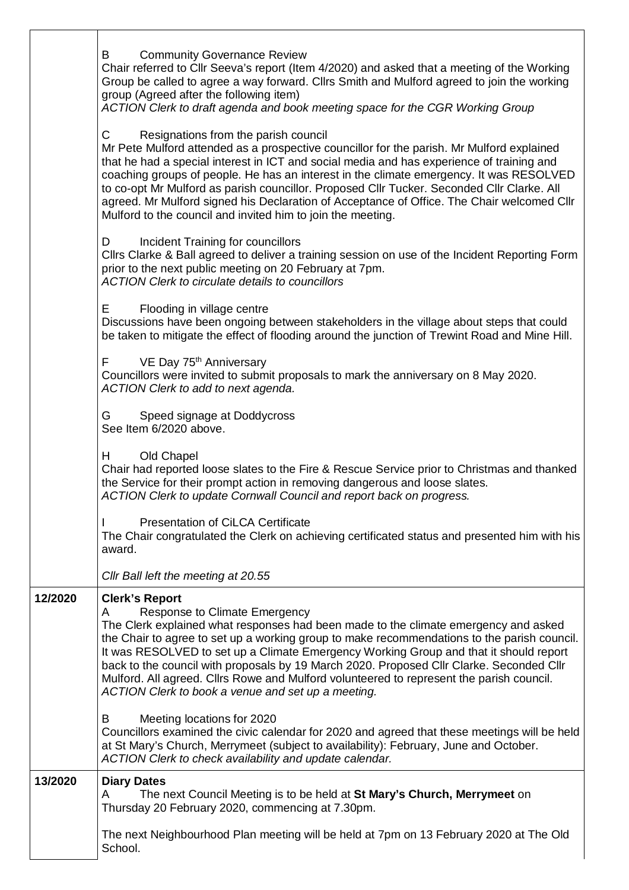|         | <b>Community Governance Review</b><br>B<br>Chair referred to Cllr Seeva's report (Item 4/2020) and asked that a meeting of the Working<br>Group be called to agree a way forward. Cllrs Smith and Mulford agreed to join the working<br>group (Agreed after the following item)<br>ACTION Clerk to draft agenda and book meeting space for the CGR Working Group                                                                                                                                                                                                                                |  |  |  |
|---------|-------------------------------------------------------------------------------------------------------------------------------------------------------------------------------------------------------------------------------------------------------------------------------------------------------------------------------------------------------------------------------------------------------------------------------------------------------------------------------------------------------------------------------------------------------------------------------------------------|--|--|--|
|         | Resignations from the parish council<br>C<br>Mr Pete Mulford attended as a prospective councillor for the parish. Mr Mulford explained<br>that he had a special interest in ICT and social media and has experience of training and<br>coaching groups of people. He has an interest in the climate emergency. It was RESOLVED<br>to co-opt Mr Mulford as parish councillor. Proposed Cllr Tucker. Seconded Cllr Clarke. All<br>agreed. Mr Mulford signed his Declaration of Acceptance of Office. The Chair welcomed Cllr<br>Mulford to the council and invited him to join the meeting.       |  |  |  |
|         | Incident Training for councillors<br>D<br>Cllrs Clarke & Ball agreed to deliver a training session on use of the Incident Reporting Form<br>prior to the next public meeting on 20 February at 7pm.<br><b>ACTION Clerk to circulate details to councillors</b>                                                                                                                                                                                                                                                                                                                                  |  |  |  |
|         | Flooding in village centre<br>Е<br>Discussions have been ongoing between stakeholders in the village about steps that could<br>be taken to mitigate the effect of flooding around the junction of Trewint Road and Mine Hill.                                                                                                                                                                                                                                                                                                                                                                   |  |  |  |
|         | VE Day 75th Anniversary<br>F<br>Councillors were invited to submit proposals to mark the anniversary on 8 May 2020.<br>ACTION Clerk to add to next agenda.                                                                                                                                                                                                                                                                                                                                                                                                                                      |  |  |  |
|         | Speed signage at Doddycross<br>G<br>See Item 6/2020 above.                                                                                                                                                                                                                                                                                                                                                                                                                                                                                                                                      |  |  |  |
|         | H<br>Old Chapel<br>Chair had reported loose slates to the Fire & Rescue Service prior to Christmas and thanked<br>the Service for their prompt action in removing dangerous and loose slates.<br>ACTION Clerk to update Cornwall Council and report back on progress.                                                                                                                                                                                                                                                                                                                           |  |  |  |
|         | <b>Presentation of CiLCA Certificate</b><br>The Chair congratulated the Clerk on achieving certificated status and presented him with his<br>award.                                                                                                                                                                                                                                                                                                                                                                                                                                             |  |  |  |
|         | Cllr Ball left the meeting at 20.55                                                                                                                                                                                                                                                                                                                                                                                                                                                                                                                                                             |  |  |  |
| 12/2020 | <b>Clerk's Report</b><br><b>Response to Climate Emergency</b><br>A<br>The Clerk explained what responses had been made to the climate emergency and asked<br>the Chair to agree to set up a working group to make recommendations to the parish council.<br>It was RESOLVED to set up a Climate Emergency Working Group and that it should report<br>back to the council with proposals by 19 March 2020. Proposed Cllr Clarke. Seconded Cllr<br>Mulford. All agreed. Cllrs Rowe and Mulford volunteered to represent the parish council.<br>ACTION Clerk to book a venue and set up a meeting. |  |  |  |
|         | Meeting locations for 2020<br>B<br>Councillors examined the civic calendar for 2020 and agreed that these meetings will be held<br>at St Mary's Church, Merrymeet (subject to availability): February, June and October.<br>ACTION Clerk to check availability and update calendar.                                                                                                                                                                                                                                                                                                             |  |  |  |
| 13/2020 | <b>Diary Dates</b><br>The next Council Meeting is to be held at St Mary's Church, Merrymeet on<br>A<br>Thursday 20 February 2020, commencing at 7.30pm.                                                                                                                                                                                                                                                                                                                                                                                                                                         |  |  |  |
|         | The next Neighbourhood Plan meeting will be held at 7pm on 13 February 2020 at The Old<br>School.                                                                                                                                                                                                                                                                                                                                                                                                                                                                                               |  |  |  |

ヿ